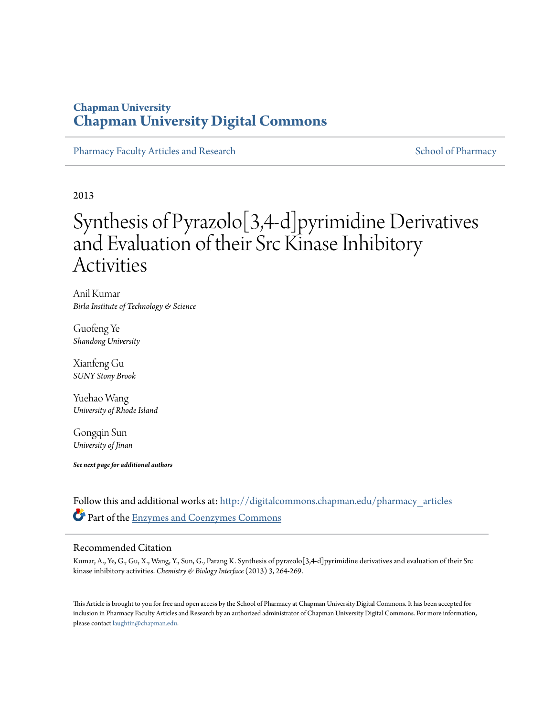## **Chapman University [Chapman University Digital Commons](http://digitalcommons.chapman.edu?utm_source=digitalcommons.chapman.edu%2Fpharmacy_articles%2F89&utm_medium=PDF&utm_campaign=PDFCoverPages)**

[Pharmacy Faculty Articles and Research](http://digitalcommons.chapman.edu/pharmacy_articles?utm_source=digitalcommons.chapman.edu%2Fpharmacy_articles%2F89&utm_medium=PDF&utm_campaign=PDFCoverPages) [School of Pharmacy](http://digitalcommons.chapman.edu/cusp?utm_source=digitalcommons.chapman.edu%2Fpharmacy_articles%2F89&utm_medium=PDF&utm_campaign=PDFCoverPages) Faculty Articles and Research School of Pharmacy

2013

# Synthesis of Pyrazolo[3,4-d]pyrimidine Derivatives and Evaluation of their Src Kinase Inhibitory Activities

Anil Kumar *Birla Institute of Technology & Science*

Guofeng Ye *Shandong University*

Xianfeng Gu *SUNY Stony Brook*

Yuehao Wang *University of Rhode Island*

Gongqin Sun *University of Jinan*

*See next page for additional authors*

Follow this and additional works at: [http://digitalcommons.chapman.edu/pharmacy\\_articles](http://digitalcommons.chapman.edu/pharmacy_articles?utm_source=digitalcommons.chapman.edu%2Fpharmacy_articles%2F89&utm_medium=PDF&utm_campaign=PDFCoverPages) Part of the [Enzymes and Coenzymes Commons](http://network.bepress.com/hgg/discipline/1009?utm_source=digitalcommons.chapman.edu%2Fpharmacy_articles%2F89&utm_medium=PDF&utm_campaign=PDFCoverPages)

### Recommended Citation

Kumar, A., Ye, G., Gu, X., Wang, Y., Sun, G., Parang K. Synthesis of pyrazolo[3,4-d]pyrimidine derivatives and evaluation of their Src kinase inhibitory activities. *Chemistry & Biology Interface* (2013) 3, 264-269.

This Article is brought to you for free and open access by the School of Pharmacy at Chapman University Digital Commons. It has been accepted for inclusion in Pharmacy Faculty Articles and Research by an authorized administrator of Chapman University Digital Commons. For more information, please contact [laughtin@chapman.edu.](mailto:laughtin@chapman.edu)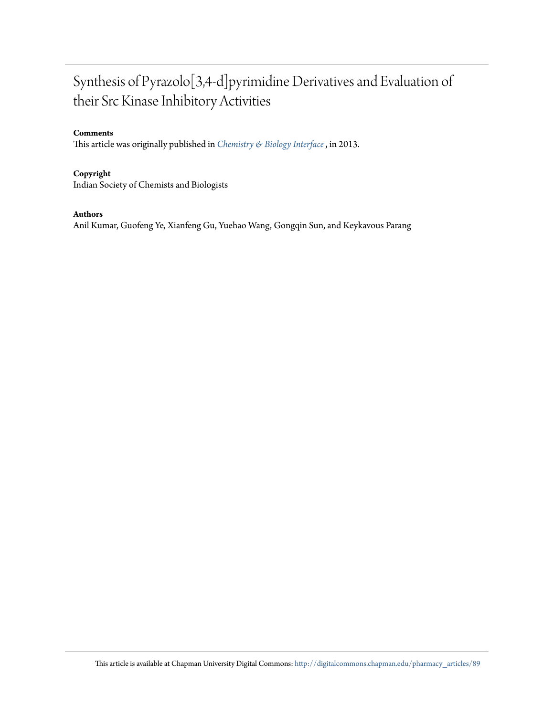## Synthesis of Pyrazolo[3,4-d]pyrimidine Derivatives and Evaluation of their Src Kinase Inhibitory Activities

### **Comments**

This article was originally published in *[Chemistry & Biology Interface](http://www.cbijournal.com/index.php?option=com_content&view=article&id=27:july-august-2013-volume-3-no4&catid=4:archive&Itemid=8)* , in 2013.

### **Copyright**

Indian Society of Chemists and Biologists

### **Authors**

Anil Kumar, Guofeng Ye, Xianfeng Gu, Yuehao Wang, Gongqin Sun, and Keykavous Parang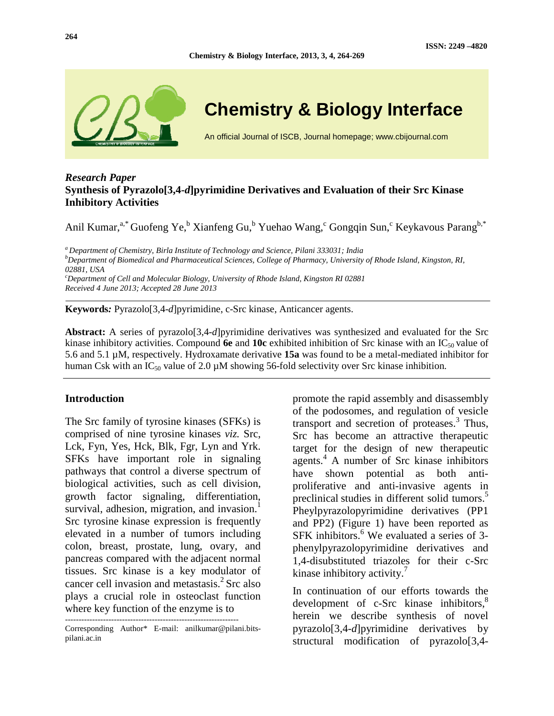

## **Chemistry & Biology Interface**

An official Journal of ISCB, Journal homepage; www.cbijournal.com

## *Research Paper*  **Synthesis of Pyrazolo[3,4-***d***]pyrimidine Derivatives and Evaluation of their Src Kinase Inhibitory Activities**

Anil Kumar,<sup>a,\*</sup> Guofeng Ye,<sup>b</sup> Xianfeng Gu,<sup>b</sup> Yuehao Wang,<sup>c</sup> Gongqin Sun,<sup>c</sup> Keykavous Parang<sup>b,\*</sup>

**Chemistry & Biology Interface, 2013, 3, 4, 264-269** 

*<sup>a</sup>Department of Chemistry, Birla Institute of Technology and Science, Pilani 333031; India <sup>b</sup>Department of Biomedical and Pharmaceutical Sciences, College of Pharmacy, University of Rhode Island, Kingston, RI, 02881, USA <sup>c</sup>Department of Cell and Molecular Biology, University of Rhode Island, Kingston RI 02881* 

*Received 4 June 2013; Accepted 28 June 2013* 

**Keywords***:* Pyrazolo[3,4-*d*]pyrimidine, c-Src kinase, Anticancer agents.

**Abstract:** A series of pyrazolo[3,4-*d*]pyrimidine derivatives was synthesized and evaluated for the Src kinase inhibitory activities. Compound 6e and 10c exhibited inhibition of Src kinase with an IC<sub>50</sub> value of 5.6 and 5.1 µM, respectively. Hydroxamate derivative **15a** was found to be a metal-mediated inhibitor for human Csk with an  $IC_{50}$  value of 2.0  $\mu$ M showing 56-fold selectivity over Src kinase inhibition.

#### **Introduction**

The Src family of tyrosine kinases (SFKs) is comprised of nine tyrosine kinases *viz.* Src, Lck, Fyn, Yes, Hck, Blk, Fgr, Lyn and Yrk. SFKs have important role in signaling pathways that control a diverse spectrum of biological activities, such as cell division, growth factor signaling, differentiation, survival, adhesion, migration, and invasion.<sup>1</sup> Src tyrosine kinase expression is frequently elevated in a number of tumors including colon, breast, prostate, lung, ovary, and pancreas compared with the adjacent normal tissues. Src kinase is a key modulator of cancer cell invasion and metastasis. $^{2}$  Src also plays a crucial role in osteoclast function where key function of the enzyme is to

----------------------------------------------------------------

promote the rapid assembly and disassembly of the podosomes, and regulation of vesicle transport and secretion of proteases.<sup>3</sup> Thus, Src has become an attractive therapeutic target for the design of new therapeutic agents.<sup>4</sup> A number of Src kinase inhibitors have shown potential as both antiproliferative and anti-invasive agents in preclinical studies in different solid tumors.<sup>5</sup> Pheylpyrazolopyrimidine derivatives (PP1 and PP2) (Figure 1) have been reported as SFK inhibitors.<sup>6</sup> We evaluated a series of 3phenylpyrazolopyrimidine derivatives and 1,4-disubstituted triazoles for their c-Src kinase inhibitory activity.<sup>7</sup>

In continuation of our efforts towards the development of  $c$ -Src kinase inhibitors, $\delta$ herein we describe synthesis of novel pyrazolo[3,4-*d*]pyrimidine derivatives by structural modification of pyrazolo[3,4-

Corresponding Author\* E-mail: anilkumar@pilani.bitspilani.ac.in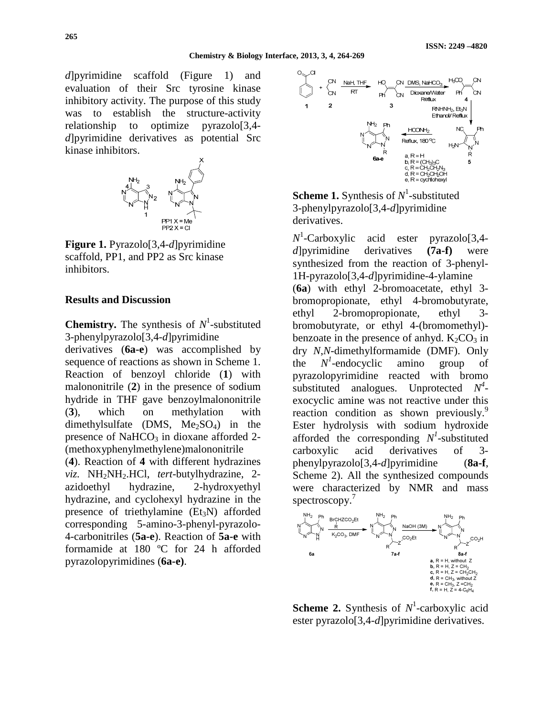*d*]pyrimidine scaffold (Figure 1) and evaluation of their Src tyrosine kinase inhibitory activity. The purpose of this study was to establish the structure-activity relationship to optimize pyrazolo[3,4 *d*]pyrimidine derivatives as potential Src kinase inhibitors.



**Figure 1.** Pyrazolo[3,4-*d*]pyrimidine scaffold, PP1, and PP2 as Src kinase inhibitors.

#### **Results and Discussion**

**Chemistry.** The synthesis of  $N^1$ -substituted 3-phenylpyrazolo[3,4-*d*]pyrimidine

derivatives (**6a-e**) was accomplished by sequence of reactions as shown in Scheme 1. Reaction of benzoyl chloride (**1**) with malononitrile (**2**) in the presence of sodium hydride in THF gave benzoylmalononitrile (**3**), which on methylation with dimethylsulfate (DMS,  $Me<sub>2</sub>SO<sub>4</sub>$ ) in the presence of NaHCO<sub>3</sub> in dioxane afforded 2-(methoxyphenylmethylene)malononitrile

(**4**). Reaction of **4** with different hydrazines *viz.* NH2NH2.HCl, *tert*-butylhydrazine, 2 azidoethyl hydrazine, 2-hydroxyethyl hydrazine, and cyclohexyl hydrazine in the presence of triethylamine  $(Et<sub>3</sub>N)$  afforded corresponding 5-amino-3-phenyl-pyrazolo-4-carbonitriles (**5a-e**). Reaction of **5a-e** with formamide at 180 ºC for 24 h afforded pyrazolopyrimidines (**6a-e)**.



**Scheme 1.** Synthesis of  $N^1$ -substituted 3-phenylpyrazolo[3,4-*d*]pyrimidine derivatives.

*N* 1 -Carboxylic acid ester pyrazolo[3,4 *d*]pyrimidine derivatives **(7a-f)** were synthesized from the reaction of 3-phenyl-1H-pyrazolo[3,4-*d*]pyrimidine-4-ylamine (**6a**) with ethyl 2-bromoacetate, ethyl 3 bromopropionate, ethyl 4-bromobutyrate, ethyl 2-bromopropionate, ethyl 3 bromobutyrate, or ethyl 4-(bromomethyl) benzoate in the presence of anhyd.  $K_2CO_3$  in dry *N*,*N*-dimethylformamide (DMF). Only the *N 1 -*endocyclic amino group of pyrazolopyrimidine reacted with bromo substituted analogues. Unprotected  $N^4$ exocyclic amine was not reactive under this reaction condition as shown previously.<sup>9</sup> Ester hydrolysis with sodium hydroxide afforded the corresponding  $N<sup>1</sup>$ -substituted carboxylic acid derivatives of 3 phenylpyrazolo[3,4-*d*]pyrimidine (**8a-f**, Scheme 2). All the synthesized compounds were characterized by NMR and mass spectroscopy.<sup>7</sup>



**Scheme 2.** Synthesis of  $N^1$ -carboxylic acid ester pyrazolo[3,4-*d*]pyrimidine derivatives.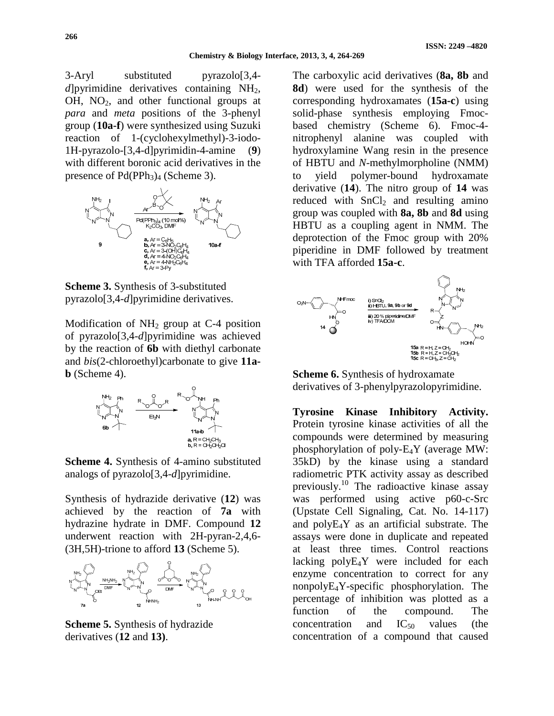3-Aryl substituted pyrazolo[3,4 *d*]pyrimidine derivatives containing  $NH<sub>2</sub>$ ,  $OH$ ,  $NO<sub>2</sub>$ , and other functional groups at *para* and *meta* positions of the 3-phenyl group (**10a-f**) were synthesized using Suzuki reaction of 1-(cyclohexylmethyl)-3-iodo-1H-pyrazolo-[3,4-d]pyrimidin-4-amine (**9**) with different boronic acid derivatives in the presence of  $Pd(PPh<sub>3</sub>)<sub>4</sub>$  (Scheme 3).



**Scheme 3.** Synthesis of 3-substituted pyrazolo[3,4-*d*]pyrimidine derivatives.

Modification of  $NH<sub>2</sub>$  group at C-4 position of pyrazolo[3,4-*d*]pyrimidine was achieved by the reaction of **6b** with diethyl carbonate and *bis*(2-chloroethyl)carbonate to give **11a- (Scheme 4).** 



**Scheme 4.** Synthesis of 4-amino substituted analogs of pyrazolo[3,4-*d*]pyrimidine.

Synthesis of hydrazide derivative (**12**) was achieved by the reaction of **7a** with hydrazine hydrate in DMF. Compound **12** underwent reaction with 2H-pyran-2,4,6- (3H,5H)-trione to afford **13** (Scheme 5).



**Scheme 5.** Synthesis of hydrazide derivatives (**12** and **13)**.

The carboxylic acid derivatives (**8a, 8b** and **8d**) were used for the synthesis of the corresponding hydroxamates (**15a-c**) using solid-phase synthesis employing Fmocbased chemistry (Scheme 6). Fmoc-4 nitrophenyl alanine was coupled with hydroxylamine Wang resin in the presence of HBTU and *N*-methylmorpholine (NMM) to yield polymer-bound hydroxamate derivative (**14**). The nitro group of **14** was reduced with  $SnCl<sub>2</sub>$  and resulting amino group was coupled with **8a, 8b** and **8d** using HBTU as a coupling agent in NMM. The deprotection of the Fmoc group with 20% piperidine in DMF followed by treatment with TFA afforded **15a-c**.



**Scheme 6.** Synthesis of hydroxamate derivatives of 3-phenylpyrazolopyrimidine.

**Tyrosine Kinase Inhibitory Activity.**  Protein tyrosine kinase activities of all the compounds were determined by measuring phosphorylation of poly-E4Y (average MW: 35kD) by the kinase using a standard radiometric PTK activity assay as described previously.<sup>10</sup> The radioactive kinase assay was performed using active p60-c-Src (Upstate Cell Signaling, Cat. No. 14-117) and polyE4Y as an artificial substrate. The assays were done in duplicate and repeated at least three times. Control reactions lacking polyE4Y were included for each enzyme concentration to correct for any nonpolyE4Y-specific phosphorylation. The percentage of inhibition was plotted as a function of the compound. The concentration and  $IC_{50}$  values (the concentration of a compound that caused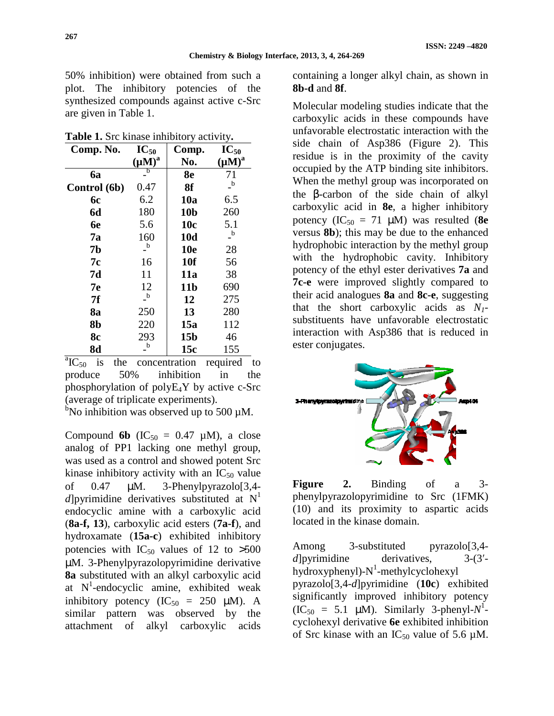$\mathbf{I}$ C

50% inhibition) were obtained from such a plot. The inhibitory potencies of the synthesized compounds against active c-Src are given in Table 1.

**Table 1.** Src kinase inhibitory activity**.** 

| Comp. No.    | $IC_{50}$   | Comp.           | $IC_{50}$   |
|--------------|-------------|-----------------|-------------|
|              | $(\mu M)^a$ | No.             | $(\mu M)^a$ |
| <b>6a</b>    | b           | 8 <sub>e</sub>  | 71          |
| Control (6b) | 0.47        | 8f              | $\mathbf b$ |
| <b>6c</b>    | 6.2         | 10a             | 6.5         |
| <b>6d</b>    | 180         | 10 <sub>b</sub> | 260         |
| 6e           | 5.6         | 10 <sub>c</sub> | 5.1         |
| 7a           | 160         | 10d             | $\mathbf b$ |
| 7b           | $\mathbf b$ | <b>10e</b>      | 28          |
| 7c           | 16          | <b>10f</b>      | 56          |
| 7d           | 11          | <b>11a</b>      | 38          |
| 7e           | 12          | 11 <sub>b</sub> | 690         |
| 7f           | $\mathbf b$ | 12              | 275         |
| 8a           | 250         | 13              | 280         |
| 8b           | 220         | 15a             | 112         |
| <b>8c</b>    | 293         | 15 <sub>b</sub> | 46          |
| 8d           | $\mathbf b$ | 15c             | 155         |

 ${}^{a}IC_{50}$  is the concentration required to produce 50% inhibition in the phosphorylation of polyE4Y by active c-Src (average of triplicate experiments).

 $b$ No inhibition was observed up to 500  $\mu$ M.

Compound **6b** ( $IC_{50} = 0.47 \mu M$ ), a close analog of PP1 lacking one methyl group, was used as a control and showed potent Src kinase inhibitory activity with an  $IC_{50}$  value of 0.47 µM. 3-Phenylpyrazolo[3,4 *d* lowrimidine derivatives substituted at  $N<sup>1</sup>$ endocyclic amine with a carboxylic acid (**8a-f, 13**), carboxylic acid esters (**7a-f**), and hydroxamate (**15a-c**) exhibited inhibitory potencies with  $IC_{50}$  values of 12 to  $>500$ µM. 3-Phenylpyrazolopyrimidine derivative **8a** substituted with an alkyl carboxylic acid at  $N^1$ -endocyclic amine, exhibited weak inhibitory potency (IC<sub>50</sub> = 250  $\mu$ M). A similar pattern was observed by the attachment of alkyl carboxylic acids

containing a longer alkyl chain, as shown in **8b-d** and **8f**.

Molecular modeling studies indicate that the carboxylic acids in these compounds have unfavorable electrostatic interaction with the side chain of Asp386 (Figure 2). This residue is in the proximity of the cavity occupied by the ATP binding site inhibitors. When the methyl group was incorporated on the β-carbon of the side chain of alkyl carboxylic acid in **8e**, a higher inhibitory potency  $(IC_{50} = 71 \mu M)$  was resulted (8e) versus **8b**); this may be due to the enhanced hydrophobic interaction by the methyl group with the hydrophobic cavity. Inhibitory potency of the ethyl ester derivatives **7a** and **7c-e** were improved slightly compared to their acid analogues **8a** and **8c-e**, suggesting that the short carboxylic acids as  $N_1$ substituents have unfavorable electrostatic interaction with Asp386 that is reduced in ester conjugates.



**Figure 2.** Binding of a 3 phenylpyrazolopyrimidine to Src (1FMK) (10) and its proximity to aspartic acids located in the kinase domain.

Among 3-substituted pyrazolo[3,4 *d*]pyrimidine derivatives, 3-(3' $hydroxyphenyl$ - $N^1$ -methylcyclohexyl pyrazolo[3,4-*d*]pyrimidine (**10c**) exhibited significantly improved inhibitory potency  $(IC_{50} = 5.1 \mu M)$ . Similarly 3-phenyl- $N^1$ cyclohexyl derivative **6e** exhibited inhibition of Src kinase with an  $IC_{50}$  value of 5.6  $\mu$ M.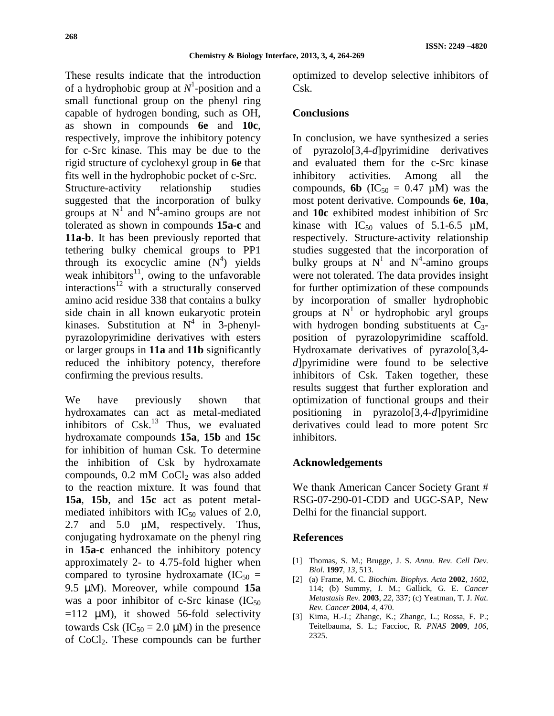These results indicate that the introduction of a hydrophobic group at *N* 1 -position and a small functional group on the phenyl ring capable of hydrogen bonding, such as OH, as shown in compounds **6e** and **10c**, respectively, improve the inhibitory potency for c-Src kinase. This may be due to the rigid structure of cyclohexyl group in **6e** that fits well in the hydrophobic pocket of c-Src. Structure-activity relationship studies suggested that the incorporation of bulky groups at  $N^1$  and  $N^4$ -amino groups are not tolerated as shown in compounds **15a-c** and **11a-b**. It has been previously reported that tethering bulky chemical groups to PP1 through its exocyclic amine  $(N^4)$  yields weak inhibitors $11$ , owing to the unfavorable interactions<sup>12</sup> with a structurally conserved amino acid residue 338 that contains a bulky side chain in all known eukaryotic protein kinases. Substitution at  $N^4$  in 3-phenylpyrazolopyrimidine derivatives with esters or larger groups in **11a** and **11b** significantly reduced the inhibitory potency, therefore confirming the previous results.

We have previously shown that hydroxamates can act as metal-mediated inhibitors of  $Csk$ <sup>13</sup> Thus, we evaluated hydroxamate compounds **15a**, **15b** and **15c** for inhibition of human Csk. To determine the inhibition of Csk by hydroxamate compounds,  $0.2 \text{ mM CoCl}_2$  was also added to the reaction mixture. It was found that **15a**, **15b**, and **15c** act as potent metalmediated inhibitors with  $IC_{50}$  values of 2.0, 2.7 and 5.0  $\mu$ M, respectively. Thus, conjugating hydroxamate on the phenyl ring in **15a**-**c** enhanced the inhibitory potency approximately 2- to 4.75-fold higher when compared to tyrosine hydroxamate (IC<sub>50</sub> = 9.5 µM). Moreover, while compound **15a** was a poor inhibitor of c-Src kinase  $(IC_{50})$  $=112$  uM), it showed 56-fold selectivity towards Csk (IC<sub>50</sub> = 2.0  $\mu$ M) in the presence of CoCl2. These compounds can be further

optimized to develop selective inhibitors of Csk.

## **Conclusions**

In conclusion, we have synthesized a series of pyrazolo[3,4-*d*]pyrimidine derivatives and evaluated them for the c-Src kinase inhibitory activities. Among all the compounds, **6b** (IC<sub>50</sub> = 0.47  $\mu$ M) was the most potent derivative. Compounds **6e**, **10a**, and **10c** exhibited modest inhibition of Src kinase with  $IC_{50}$  values of 5.1-6.5  $\mu$ M, respectively. Structure-activity relationship studies suggested that the incorporation of bulky groups at  $N^1$  and  $N^4$ -amino groups were not tolerated. The data provides insight for further optimization of these compounds by incorporation of smaller hydrophobic groups at  $N<sup>1</sup>$  or hydrophobic aryl groups with hydrogen bonding substituents at  $C_3$ position of pyrazolopyrimidine scaffold. Hydroxamate derivatives of pyrazolo[3,4 *d*]pyrimidine were found to be selective inhibitors of Csk. Taken together, these results suggest that further exploration and optimization of functional groups and their positioning in pyrazolo[3,4-*d*]pyrimidine derivatives could lead to more potent Src inhibitors.

## **Acknowledgements**

We thank American Cancer Society Grant # RSG-07-290-01-CDD and UGC-SAP, New Delhi for the financial support.

## **References**

- [1] Thomas, S. M.; Brugge, J. S. *Annu. Rev. Cell Dev. Biol.* **1997**, *13*, 513.
- [2] (a) Frame, M. C. *Biochim. Biophys. Acta* **2002**, *1602*, 114; (b) Summy, J. M.; Gallick, G. E. *Cancer Metastasis Rev.* **2003**, *22*, 337; (c) Yeatman, T. J. *Nat. Rev. Cancer* **2004**, *4*, 470.
- [3] Kima, H.-J.; Zhangc, K.; Zhangc, L.; Rossa, F. P.; Teitelbauma, S. L.; Faccioc, R. *PNAS* **2009**, *106*, 2325.